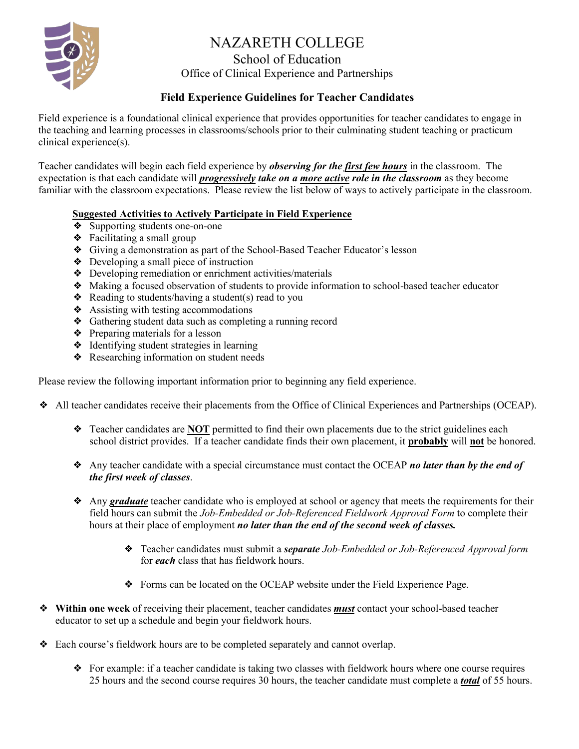# NAZARETH COLLEGE

# School of Education

Office of Clinical Experience and Partnerships

### **Field Experience Guidelines for Teacher Candidates**

Field experience is a foundational clinical experience that provides opportunities for teacher candidates to engage in the teaching and learning processes in classrooms/schools prior to their culminating student teaching or practicum clinical experience(s).

Teacher candidates will begin each field experience by *observing for the first few hours* in the classroom. The expectation is that each candidate will *progressively take on a more active role in the classroom* as they become familiar with the classroom expectations. Please review the list below of ways to actively participate in the classroom.

#### **Suggested Activities to Actively Participate in Field Experience**

- ❖ Supporting students one-on-one
- ❖ Facilitating a small group
- ❖ Giving a demonstration as part of the School-Based Teacher Educator's lesson
- ❖ Developing a small piece of instruction
- ❖ Developing remediation or enrichment activities/materials
- ❖ Making a focused observation of students to provide information to school-based teacher educator
- $\triangle$  Reading to students/having a student(s) read to you
- ❖ Assisting with testing accommodations
- ❖ Gathering student data such as completing a running record
- ❖ Preparing materials for a lesson
- ❖ Identifying student strategies in learning
- ❖ Researching information on student needs

Please review the following important information prior to beginning any field experience.

- ❖ All teacher candidates receive their placements from the Office of Clinical Experiences and Partnerships (OCEAP).
	- ❖ Teacher candidates are **NOT** permitted to find their own placements due to the strict guidelines each school district provides. If a teacher candidate finds their own placement, it **probably** will **not** be honored.
	- ❖ Any teacher candidate with a special circumstance must contact the OCEAP *no later than by the end of the first week of classes*.
	- ❖ Any *graduate* teacher candidate who is employed at school or agency that meets the requirements for their field hours can submit the *Job-Embedded or Job-Referenced Fieldwork Approval Form* to complete their hours at their place of employment *no later than the end of the second week of classes.* 
		- ❖ Teacher candidates must submit a *separate Job-Embedded or Job-Referenced Approval form* for *each* class that has fieldwork hours.
		- ❖ Forms can be located on the OCEAP website under the Field Experience Page.
- ❖ **Within one week** of receiving their placement, teacher candidates *must* contact your school-based teacher educator to set up a schedule and begin your fieldwork hours.
- ❖ Each course's fieldwork hours are to be completed separately and cannot overlap.
	- ❖ For example: if a teacher candidate is taking two classes with fieldwork hours where one course requires 25 hours and the second course requires 30 hours, the teacher candidate must complete a *total* of 55 hours.